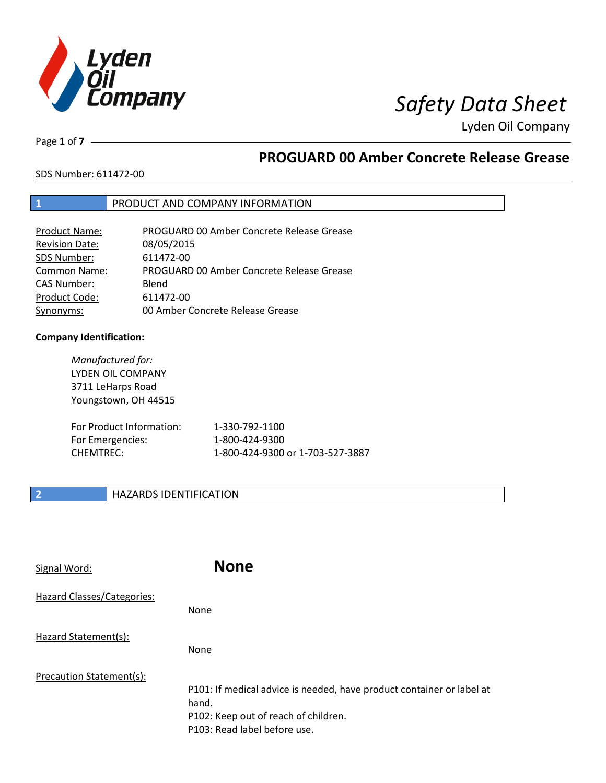

Page **1** of **7**

# **PROGUARD 00 Amber Concrete Release Grease**

SDS Number: 611472-00

### **1** PRODUCT AND COMPANY INFORMATION

| <b>Product Name:</b>  | PROGUARD 00 Amber Concrete Release Grease |
|-----------------------|-------------------------------------------|
| <b>Revision Date:</b> | 08/05/2015                                |
| SDS Number:           | 611472-00                                 |
| <b>Common Name:</b>   | PROGUARD 00 Amber Concrete Release Grease |
| <b>CAS Number:</b>    | Blend                                     |
| Product Code:         | 611472-00                                 |
| Synonyms:             | 00 Amber Concrete Release Grease          |

### **Company Identification:**

| Manufactured for:<br>LYDEN OIL COMPANY<br>3711 LeHarps Road<br>Youngstown, OH 44515 |                                  |
|-------------------------------------------------------------------------------------|----------------------------------|
| For Product Information:                                                            | 1-330-792-1100                   |
| For Emergencies:                                                                    | 1-800-424-9300                   |
| CHEMTREC:                                                                           | 1-800-424-9300 or 1-703-527-3887 |

# **2 HAZARDS IDENTIFICATION**

| Signal Word:               | <b>None</b>                                                                                                                                            |
|----------------------------|--------------------------------------------------------------------------------------------------------------------------------------------------------|
| Hazard Classes/Categories: | <b>None</b>                                                                                                                                            |
| Hazard Statement(s):       | <b>None</b>                                                                                                                                            |
| Precaution Statement(s):   | P101: If medical advice is needed, have product container or label at<br>hand.<br>P102: Keep out of reach of children.<br>P103: Read label before use. |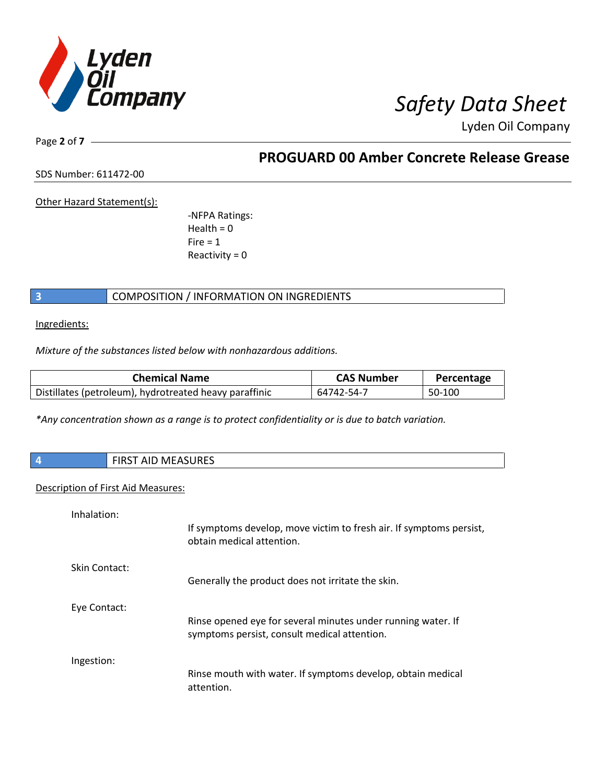

Page **2** of **7**

**PROGUARD 00 Amber Concrete Release Grease**

SDS Number: 611472-00

Other Hazard Statement(s):

-NFPA Ratings:  $Health = 0$  $Fire = 1$ Reactivity  $= 0$ 

# **3** COMPOSITION / INFORMATION ON INGREDIENTS

Ingredients:

*Mixture of the substances listed below with nonhazardous additions.*

| <b>Chemical Name</b>                                   | <b>CAS Number</b> | Percentage |
|--------------------------------------------------------|-------------------|------------|
| Distillates (petroleum), hydrotreated heavy paraffinic | 64742-54-7        | 50-100     |

*\*Any concentration shown as a range is to protect confidentiality or is due to batch variation.*

| <b>FIRST AID MEASURES</b><br>4     |                                                                                                              |
|------------------------------------|--------------------------------------------------------------------------------------------------------------|
| Description of First Aid Measures: |                                                                                                              |
| Inhalation:                        | If symptoms develop, move victim to fresh air. If symptoms persist,<br>obtain medical attention.             |
| Skin Contact:                      | Generally the product does not irritate the skin.                                                            |
| Eye Contact:                       | Rinse opened eye for several minutes under running water. If<br>symptoms persist, consult medical attention. |
| Ingestion:                         | Rinse mouth with water. If symptoms develop, obtain medical<br>attention.                                    |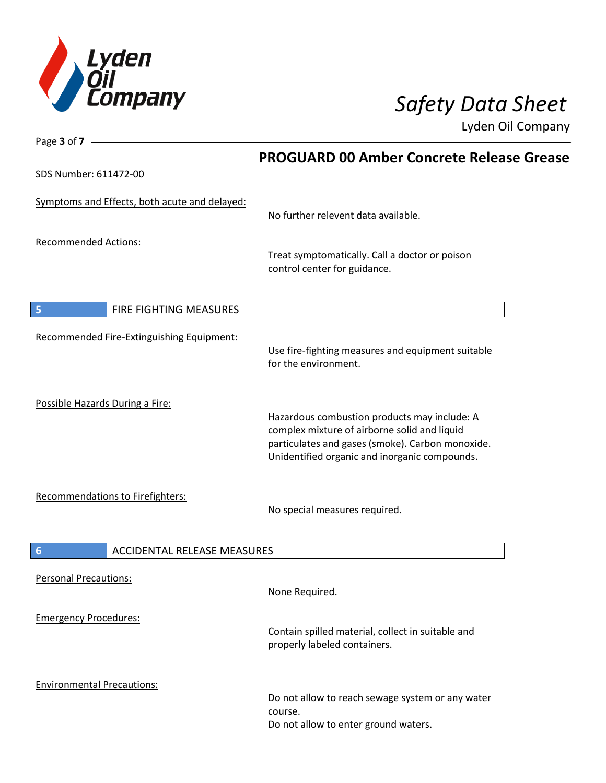

Page **3** of **7**

Lyden Oil Company

|                                               | <b>PROGUARD 00 Amber Concrete Release Grease</b>                                                                                                                                                  |  |
|-----------------------------------------------|---------------------------------------------------------------------------------------------------------------------------------------------------------------------------------------------------|--|
| SDS Number: 611472-00                         |                                                                                                                                                                                                   |  |
| Symptoms and Effects, both acute and delayed: | No further relevent data available.                                                                                                                                                               |  |
| <b>Recommended Actions:</b>                   | Treat symptomatically. Call a doctor or poison<br>control center for guidance.                                                                                                                    |  |
| FIRE FIGHTING MEASURES<br>5                   |                                                                                                                                                                                                   |  |
| Recommended Fire-Extinguishing Equipment:     | Use fire-fighting measures and equipment suitable<br>for the environment.                                                                                                                         |  |
| Possible Hazards During a Fire:               | Hazardous combustion products may include: A<br>complex mixture of airborne solid and liquid<br>particulates and gases (smoke). Carbon monoxide.<br>Unidentified organic and inorganic compounds. |  |
| Recommendations to Firefighters:              | No special measures required.                                                                                                                                                                     |  |
| 6<br><b>ACCIDENTAL RELEASE MEASURES</b>       |                                                                                                                                                                                                   |  |
| <b>Personal Precautions:</b>                  | None Required.                                                                                                                                                                                    |  |
| <b>Emergency Procedures:</b>                  | Contain spilled material, collect in suitable and<br>properly labeled containers.                                                                                                                 |  |
| <b>Environmental Precautions:</b>             | Do not allow to reach sewage system or any water<br>course.<br>Do not allow to enter ground waters.                                                                                               |  |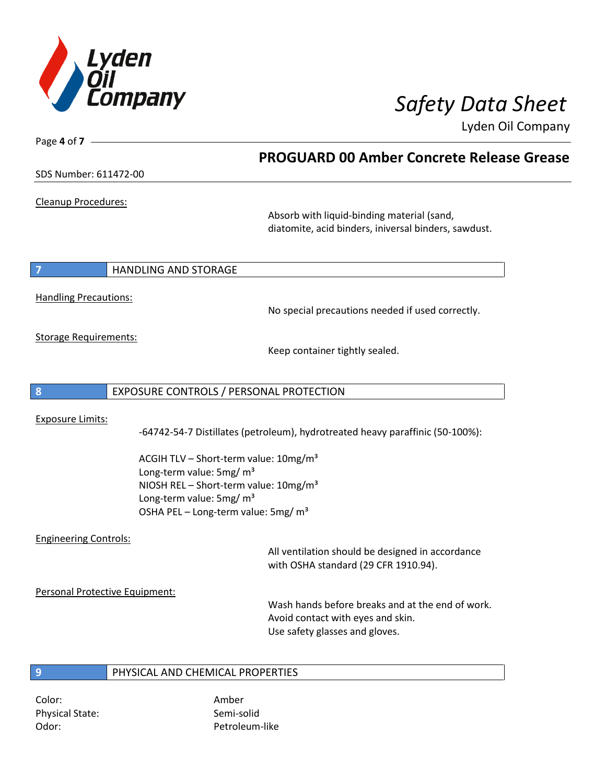

| Page 4 of 7 -                  |                                                                                           |
|--------------------------------|-------------------------------------------------------------------------------------------|
|                                | <b>PROGUARD 00 Amber Concrete Release Grease</b>                                          |
| SDS Number: 611472-00          |                                                                                           |
| Cleanup Procedures:            |                                                                                           |
|                                | Absorb with liquid-binding material (sand,                                                |
|                                | diatomite, acid binders, iniversal binders, sawdust.                                      |
| 7                              | <b>HANDLING AND STORAGE</b>                                                               |
|                                |                                                                                           |
| <b>Handling Precautions:</b>   |                                                                                           |
|                                | No special precautions needed if used correctly.                                          |
| <b>Storage Requirements:</b>   |                                                                                           |
|                                | Keep container tightly sealed.                                                            |
|                                |                                                                                           |
| 8                              | EXPOSURE CONTROLS / PERSONAL PROTECTION                                                   |
| <b>Exposure Limits:</b>        |                                                                                           |
|                                | -64742-54-7 Distillates (petroleum), hydrotreated heavy paraffinic (50-100%):             |
|                                |                                                                                           |
|                                | ACGIH TLV - Short-term value: 10mg/m <sup>3</sup><br>Long-term value: 5mg/ m <sup>3</sup> |
|                                | NIOSH REL - Short-term value: 10mg/m <sup>3</sup>                                         |
|                                | Long-term value: 5mg/ m <sup>3</sup>                                                      |
|                                | OSHA PEL - Long-term value: 5mg/ m <sup>3</sup>                                           |
| <b>Engineering Controls:</b>   |                                                                                           |
|                                | All ventilation should be designed in accordance                                          |
|                                | with OSHA standard (29 CFR 1910.94).                                                      |
| Personal Protective Equipment: |                                                                                           |
|                                | Wash hands before breaks and at the end of work.                                          |
|                                | Avoid contact with eyes and skin.<br>Use safety glasses and gloves.                       |
|                                |                                                                                           |
|                                | PHYSICAL AND CHEMICAL PROPERTIES                                                          |
| $\overline{9}$                 |                                                                                           |

Color: Amber Physical State: Semi-solid Odor: Petroleum-like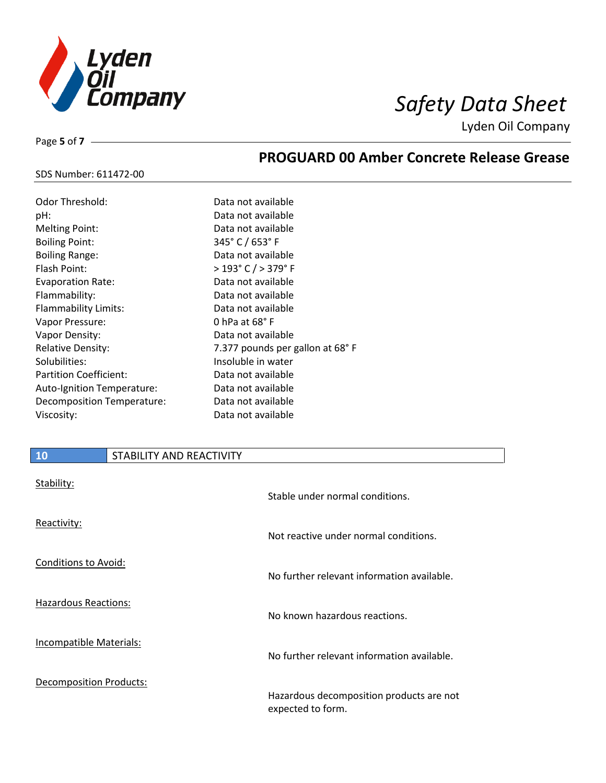

**PROGUARD 00 Amber Concrete Release Grease**

Lyden Oil Company

### SDS Number: 611472-00

Page **5** of **7**

| Data not available              |
|---------------------------------|
| Data not available              |
| Data not available              |
| 345°C/653°F                     |
| Data not available              |
| > 193° C / > 379° F             |
| Data not available              |
| Data not available              |
| Data not available              |
| 0 hPa at $68^{\circ}$ F         |
| Data not available              |
| 7.377 pounds per gallon at 68°F |
| Insoluble in water              |
| Data not available              |
| Data not available              |
| Data not available              |
| Data not available              |
|                                 |

# **10** STABILITY AND REACTIVITY

| Stability:                     | Stable under normal conditions.                               |
|--------------------------------|---------------------------------------------------------------|
| Reactivity:                    | Not reactive under normal conditions.                         |
| <b>Conditions to Avoid:</b>    | No further relevant information available.                    |
| Hazardous Reactions:           | No known hazardous reactions.                                 |
| <b>Incompatible Materials:</b> | No further relevant information available.                    |
| <b>Decomposition Products:</b> | Hazardous decomposition products are not<br>expected to form. |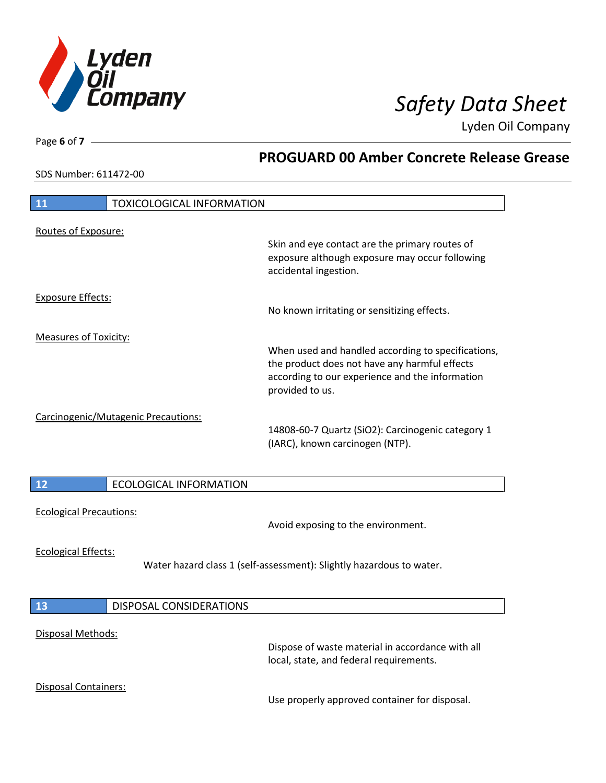

**PROGUARD 00 Amber Concrete Release Grease**

Lyden Oil Company

SDS Number: 611472-00

Page **6** of **7**

 $\mathbf l$ 

 $\overline{\phantom{a}}$ 

 $\overline{\phantom{a}}$ 

| <b>TOXICOLOGICAL INFORMATION</b><br>11 |                                                                                                                                                                           |
|----------------------------------------|---------------------------------------------------------------------------------------------------------------------------------------------------------------------------|
| Routes of Exposure:                    | Skin and eye contact are the primary routes of<br>exposure although exposure may occur following<br>accidental ingestion.                                                 |
| <b>Exposure Effects:</b>               | No known irritating or sensitizing effects.                                                                                                                               |
| <b>Measures of Toxicity:</b>           | When used and handled according to specifications,<br>the product does not have any harmful effects<br>according to our experience and the information<br>provided to us. |
| Carcinogenic/Mutagenic Precautions:    | 14808-60-7 Quartz (SiO2): Carcinogenic category 1<br>(IARC), known carcinogen (NTP).                                                                                      |
| <b>ECOLOGICAL INFORMATION</b><br>12    |                                                                                                                                                                           |
| <b>Ecological Precautions:</b>         | Avoid exposing to the environment.                                                                                                                                        |
| <b>Ecological Effects:</b>             | Water hazard class 1 (self-assessment): Slightly hazardous to water.                                                                                                      |
| <b>DISPOSAL CONSIDERATIONS</b><br>13   |                                                                                                                                                                           |
| Disposal Methods:                      | Dispose of waste material in accordance with all<br>local, state, and federal requirements.                                                                               |
| Disposal Containers:                   | Use properly approved container for disposal.                                                                                                                             |